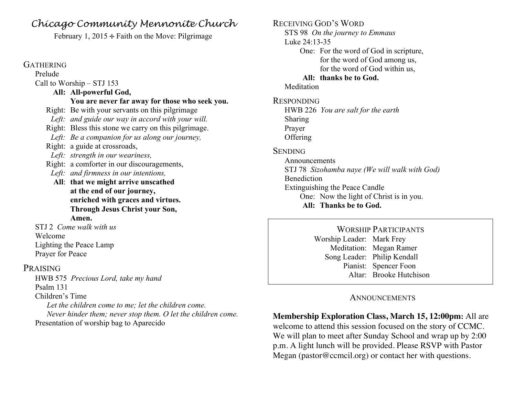## *Chicago Community Mennonite Church*

February 1, 2015  $\div$  Faith on the Move: Pilgrimage

#### **GATHERING**

Prelude Call to Worship – STJ 153

### **All: All-powerful God,**

#### **You are never far away for those who seek you.**

Right: Be with your servants on this pilgrimage

*Left: and guide our way in accord with your will.*

- Right: Bless this stone we carry on this pilgrimage.
- *Left: Be a companion for us along our journey,*
- Right: a guide at crossroads,
- *Left: strength in our weariness,*
- Right: a comforter in our discouragements,
- *Left: and firmness in our intentions,*
- **All**: **that we might arrive unscathed at the end of our journey, enriched with graces and virtues. Through Jesus Christ your Son, Amen.**

STJ 2 *Come walk with us* Welcome Lighting the Peace Lamp Prayer for Peace

#### PRAISING

HWB 575 *Precious Lord, take my hand* Psalm 131 Children's Time *Let the children come to me; let the children come.* 

*Never hinder them; never stop them. O let the children come.* Presentation of worship bag to Aparecido

RECEIVING GOD'S WORD STS 98 *On the journey to Emmaus* Luke 24:13-35 One: For the word of God in scripture, for the word of God among us, for the word of God within us, **All: thanks be to God.** Meditation RESPONDING HWB 226 *You are salt for the earth*  Sharing Prayer **Offering SENDING** Announcements STJ 78 *Sizohamba naye (We will walk with God)*  Benediction Extinguishing the Peace Candle One: Now the light of Christ is in you. **All: Thanks be to God.**

> WORSHIP PARTICIPANTS Worship Leader: Mark Frey Meditation: Megan Ramer Song Leader: Philip Kendall Pianist: Spencer Foon Altar: Brooke Hutchison

### **ANNOUNCEMENTS**

**Membership Exploration Class, March 15, 12:00pm:** All are welcome to attend this session focused on the story of CCMC. We will plan to meet after Sunday School and wrap up by 2:00 p.m. A light lunch will be provided. Please RSVP with Pastor Megan (pastor@ccmcil.org) or contact her with questions.